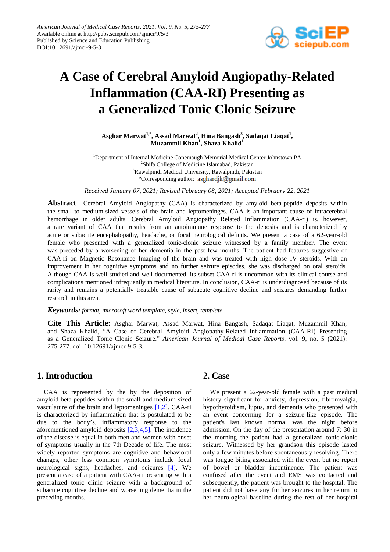

# **A Case of Cerebral Amyloid Angiopathy-Related Inflammation (CAA-RI) Presenting as a Generalized Tonic Clonic Seizure**

 $\Delta$ sghar Marwat<sup>1,\*</sup>, Assad Marwat<sup>2</sup>, Hina Bangash<sup>3</sup>, Sadaqat Liaqat<sup>1</sup>, **Muzammil Khan1 , Shaza Khalid1**

<sup>1</sup>Department of Internal Medicine Conemaugh Memorial Medical Center Johnstown PA <sup>2</sup>Shifa College of Medicine Islamabad, Pakistan <sup>3</sup>Rawalpindi Medical University, Rawalpindi, Pakistan \*Corresponding author: asghardik@gmail.com

*Received January 07, 2021; Revised February 08, 2021; Accepted February 22, 2021*

**Abstract** Cerebral Amyloid Angiopathy (CAA) is characterized by amyloid beta-peptide deposits within the small to medium-sized vessels of the brain and leptomeninges. CAA is an important cause of intracerebral hemorrhage in older adults. Cerebral Amyloid Angiopathy Related Inflammation (CAA-ri) is, however, a rare variant of CAA that results from an autoimmune response to the deposits and is characterized by acute or subacute encephalopathy, headache, or focal neurological deficits. We present a case of a 62-year-old female who presented with a generalized tonic-clonic seizure witnessed by a family member. The event was preceded by a worsening of her dementia in the past few months. The patient had features suggestive of CAA-ri on Magnetic Resonance Imaging of the brain and was treated with high dose IV steroids. With an improvement in her cognitive symptoms and no further seizure episodes, she was discharged on oral steroids. Although CAA is well studied and well documented, its subset CAA-ri is uncommon with its clinical course and complications mentioned infrequently in medical literature. In conclusion, CAA-ri is underdiagnosed because of its rarity and remains a potentially treatable cause of subacute cognitive decline and seizures demanding further research in this area.

#### *Keywords: format, microsoft word template, style, insert, template*

**Cite This Article:** Asghar Marwat, Assad Marwat, Hina Bangash, Sadaqat Liaqat, Muzammil Khan, and Shaza Khalid, "A Case of Cerebral Amyloid Angiopathy-Related Inflammation (CAA-RI) Presenting as a Generalized Tonic Clonic Seizure." *American Journal of Medical Case Reports*, vol. 9, no. 5 (2021): 275-277. doi: 10.12691/ajmcr-9-5-3.

## **1. Introduction**

CAA is represented by the by the deposition of amyloid-beta peptides within the small and medium-sized vasculature of the brain and leptomeninges [\[1,2\].](#page-1-0) CAA-ri is characterized by inflammation that is postulated to be due to the body's, inflammatory response to the aforementioned amyloid deposits [\[2,3,4,5\].](#page-1-1) The incidence of the disease is equal in both men and women with onset of symptoms usually in the 7th Decade of life. The most widely reported symptoms are cognitive and behavioral changes, other less common symptoms include focal neurological signs, headaches, and seizures [\[4\].](#page-1-2) We present a case of a patient with CAA-ri presenting with a generalized tonic clinic seizure with a background of subacute cognitive decline and worsening dementia in the preceding months.

### **2. Case**

We present a 62-year-old female with a past medical history significant for anxiety, depression, fibromyalgia, hypothyroidism, lupus, and dementia who presented with an event concerning for a seizure-like episode. The patient's last known normal was the night before admission. On the day of the presentation around 7: 30 in the morning the patient had a generalized tonic-clonic seizure. Witnessed by her grandson this episode lasted only a few minutes before spontaneously resolving. There was tongue biting associated with the event but no report of bowel or bladder incontinence. The patient was confused after the event and EMS was contacted and subsequently, the patient was brought to the hospital. The patient did not have any further seizures in her return to her neurological baseline during the rest of her hospital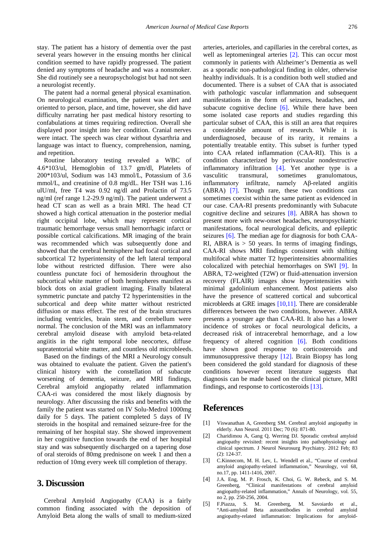stay. The patient has a history of dementia over the past several years however in the ensuing months her clinical condition seemed to have rapidly progressed. The patient denied any symptoms of headache and was a nonsmoker. She did routinely see a neuropsychologist but had not seen a neurologist recently.

The patent had a normal general physical examination. On neurological examination, the patient was alert and oriented to person, place, and time, however, she did have difficulty narrating her past medical history resorting to confabulations at times requiring redirection. Overall she displayed poor insight into her condition. Cranial nerves were intact. The speech was clear without dysarthria and language was intact to fluency, comprehension, naming, and repetition.

Routine laboratory testing revealed a WBC of 4.6\*103/ul, Hemoglobin of 13.7 gm/dl, Platelets of 200\*103/ul, Sodium was 143 mmol/L, Potassium of 3.6 mmol/L, and creatinine of 0.8 mg/dL. Her TSH was 1.16 ulU/ml, free T4 was 0.92 ng/dl and Prolactin of 73.5 ng/ml (ref range 1.2-29.9 ng/ml). The patient underwent a head CT scan as well as a brain MRI. The head CT showed a high cortical attenuation in the posterior medial right occipital lobe, which may represent cortical traumatic hemorrhage versus small hemorrhagic infarct or possible cortical calcifications. MR imaging of the brain was recommended which was subsequently done and showed that the cerebral hemisphere had focal cortical and subcortical T2 hyperintensity of the left lateral temporal lobe without restricted diffusion. There were also countless punctate foci of hemosiderin throughout the subcortical white matter of both hemispheres manifest as block dots on axial gradient imaging. Finally bilateral symmetric punctate and patchy T2 hyperintensities in the subcortical and deep white matter without restricted diffusion or mass effect. The rest of the brain structures including ventricles, brain stem, and cerebellum were normal. The conclusion of the MRI was an inflammatory cerebral amyloid disease with amyloid beta-related angiitis in the right temporal lobe neocortex, diffuse supratentorial white matter, and countless old microbleeds.

Based on the findings of the MRI a Neurology consult was obtained to evaluate the patient. Given the patient's clinical history with the constellation of subacute worsening of dementia, seizure, and MRI findings, Cerebral amyloid angiopathy related inflammation CAA-ri was considered the most likely diagnosis by neurology. After discussing the risks and benefits with the family the patient was started on IV Solu-Medrol 1000mg daily for 5 days. The patient completed 5 days of IV steroids in the hospital and remained seizure-free for the remaining of her hospital stay. She showed improvement in her cognitive function towards the end of her hospital stay and was subsequently discharged on a tapering dose of oral steroids of 80mg prednisone on week 1 and then a reduction of 10mg every week till completion of therapy.

### **3. Discussion**

Cerebral Amyloid Angiopathy (CAA) is a fairly common finding associated with the deposition of Amyloid Beta along the walls of small to medium-sized arteries, arterioles, and capillaries in the cerebral cortex, as well as leptomeningeal arteries [\[2\].](#page-1-1) This can occur most commonly in patients with Alzheimer's Dementia as well as a sporadic non-pathological finding in older, otherwise healthy individuals. It is a condition both well studied and documented. There is a subset of CAA that is associated with pathologic vascular inflammation and subsequent manifestations in the form of seizures, headaches, and subacute cognitive decline  $[6]$ . While there have been some isolated case reports and studies regarding this particular subset of CAA, this is still an area that requires considerable amount of research. While it is underdiagnosed, because of its rarity, it remains a potentially treatable entity. This subset is further typed into CAA related inflammation (CAA-RI). This is a condition characterized by perivascular nondestructive inflammatory infiltration [\[4\].](#page-1-2) Yet another type is a vasculitic transmural, sometimes granulomatous, inflammatory infiltrate, namely Aβ-related angiitis (ABRA) [\[7\].](#page-2-1) Though rare, these two conditions can sometimes coexist within the same patient as evidenced in our case. CAA-RI presents predominantly with Subacute cognitive decline and seizures [\[8\].](#page-2-2) ABRA has shown to present more with new-onset headaches, neuropsychiatric manifestations, focal neurological deficits, and epileptic seizures [\[6\].](#page-2-0) The median age for diagnosis for both CAA-RI, ABRA is  $> 50$  years. In terms of imaging findings, CAA-RI shows MRI findings consistent with shifting multifocal white matter T2 hyperintensities abnormalities colocalized with petechial hemorrhages on SWI [\[9\].](#page-2-3) In ABRA, T2-weighted (T2W) or fluid-attenuation inversion recovery (FLAIR) images show hyperintensities with minimal gadolinium enhancement. Most patients also have the presence of scattered cortical and subcortical microbleeds at GRE images [\[10,11\].](#page-2-4) There are considerable differences between the two conditions, however. ABRA presents a younger age than CAA-RI. It also has a lower incidence of strokes or focal neurological deficits, a decreased risk of intracerebral hemorrhage, and a low frequency of altered cognition [\[6\].](#page-2-0) Both conditions have shown good response to corticosteroids and immunosuppressive therapy [\[12\].](#page-2-5) Brain Biopsy has long been considered the gold standard for diagnosis of these conditions however recent literature suggests that diagnosis can be made based on the clinical picture, MRI findings, and response to corticosteroids [\[13\].](#page-2-6)

### **References**

- <span id="page-1-0"></span>[1] Viswanathan A, Greenberg SM. Cerebral amyloid angiopathy in elderly. Ann Neurol. 2011 Dec; 70 (6): 871-80.
- <span id="page-1-1"></span>[2] Charidimou A, Gang Q, Werring DJ. Sporadic cerebral amyloid angiopathy revisited: recent insights into pathophysiology and clinical spectrum. J Neurol Neurosurg Psychiatry. 2012 Feb; 83 (2): 124-37.
- [3] C.Kinnecom, M. H. Lev, L. Wendell et al., "Course of cerebral amyloid angiopathy-related inflammation," Neurology, vol 68, no.17, pp. 1411-1416, 2007.
- <span id="page-1-2"></span>[4] J.A. Eng, M. P. Frosch, K. Choi, G. W. Rebeck, and S. M. Greenberg, "Clinical manifestations of cerebral amyloid angiopathy-related inflammation," Annals of Neurology, vol. 55, no 2, pp. 250-256, 2004.
- [5] F.Piazza, S. M. Greenberg, M. Savoiardo et al., "Anti-amyloid Beta autoantibodies in cerebral amyloid angiopathy-related inflammation: Implications for amyloid-